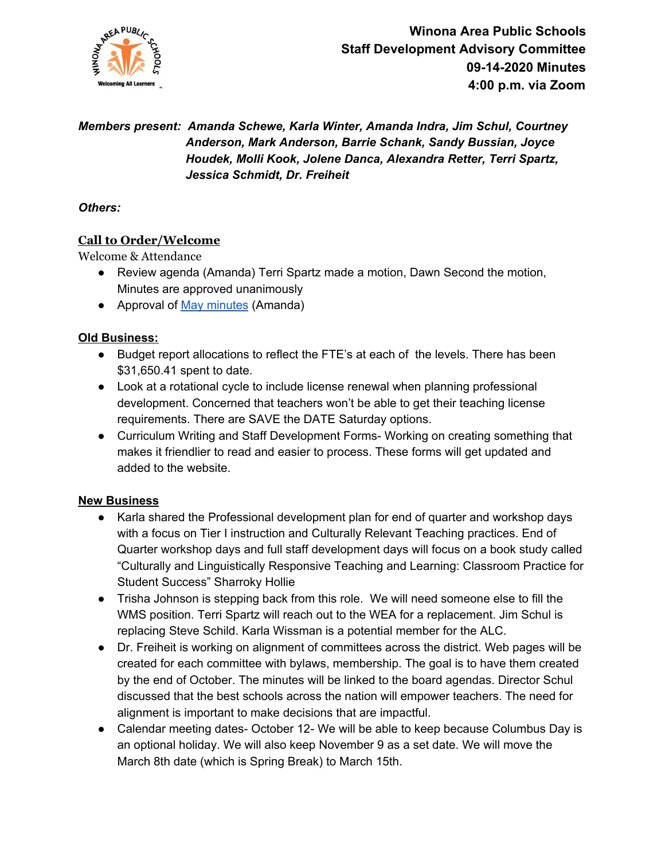

# *Members present: Amanda Schewe, Karla Winter, Amanda Indra, Jim Schul, Courtney Anderson, Mark Anderson, Barrie Schank, Sandy Bussian, Joyce Houdek, Molli Kook, Jolene Danca, Alexandra Retter, Terri Spartz, Jessica Schmidt, Dr. Freiheit*

#### *Others:*

## **Call to Order/Welcome**

Welcome & Attendance

- Review agenda (Amanda) Terri Spartz made a motion, Dawn Second the motion, Minutes are approved unanimously
- Approval of May [minutes](https://docs.google.com/document/d/1ShN-3kgicza12tXqku2M9Y9kAJijhKnKJ8gGJ9N4FFY/edit?usp=sharing) (Amanda)

### **Old Business:**

- Budget report allocations to reflect the FTE's at each of the levels. There has been \$31,650.41 spent to date.
- Look at a rotational cycle to include license renewal when planning professional development. Concerned that teachers won't be able to get their teaching license requirements. There are SAVE the DATE Saturday options.
- Curriculum Writing and Staff Development Forms- Working on creating something that makes it friendlier to read and easier to process. These forms will get updated and added to the website.

### **New Business**

- Karla shared the Professional development plan for end of quarter and workshop days with a focus on Tier I instruction and Culturally Relevant Teaching practices. End of Quarter workshop days and full staff development days will focus on a book study called "Culturally and Linguistically Responsive Teaching and Learning: Classroom Practice for Student Success" Sharroky Hollie
- Trisha Johnson is stepping back from this role. We will need someone else to fill the WMS position. Terri Spartz will reach out to the WEA for a replacement. Jim Schul is replacing Steve Schild. Karla Wissman is a potential member for the ALC.
- Dr. Freiheit is working on alignment of committees across the district. Web pages will be created for each committee with bylaws, membership. The goal is to have them created by the end of October. The minutes will be linked to the board agendas. Director Schul discussed that the best schools across the nation will empower teachers. The need for alignment is important to make decisions that are impactful.
- Calendar meeting dates- October 12- We will be able to keep because Columbus Day is an optional holiday. We will also keep November 9 as a set date. We will move the March 8th date (which is Spring Break) to March 15th.